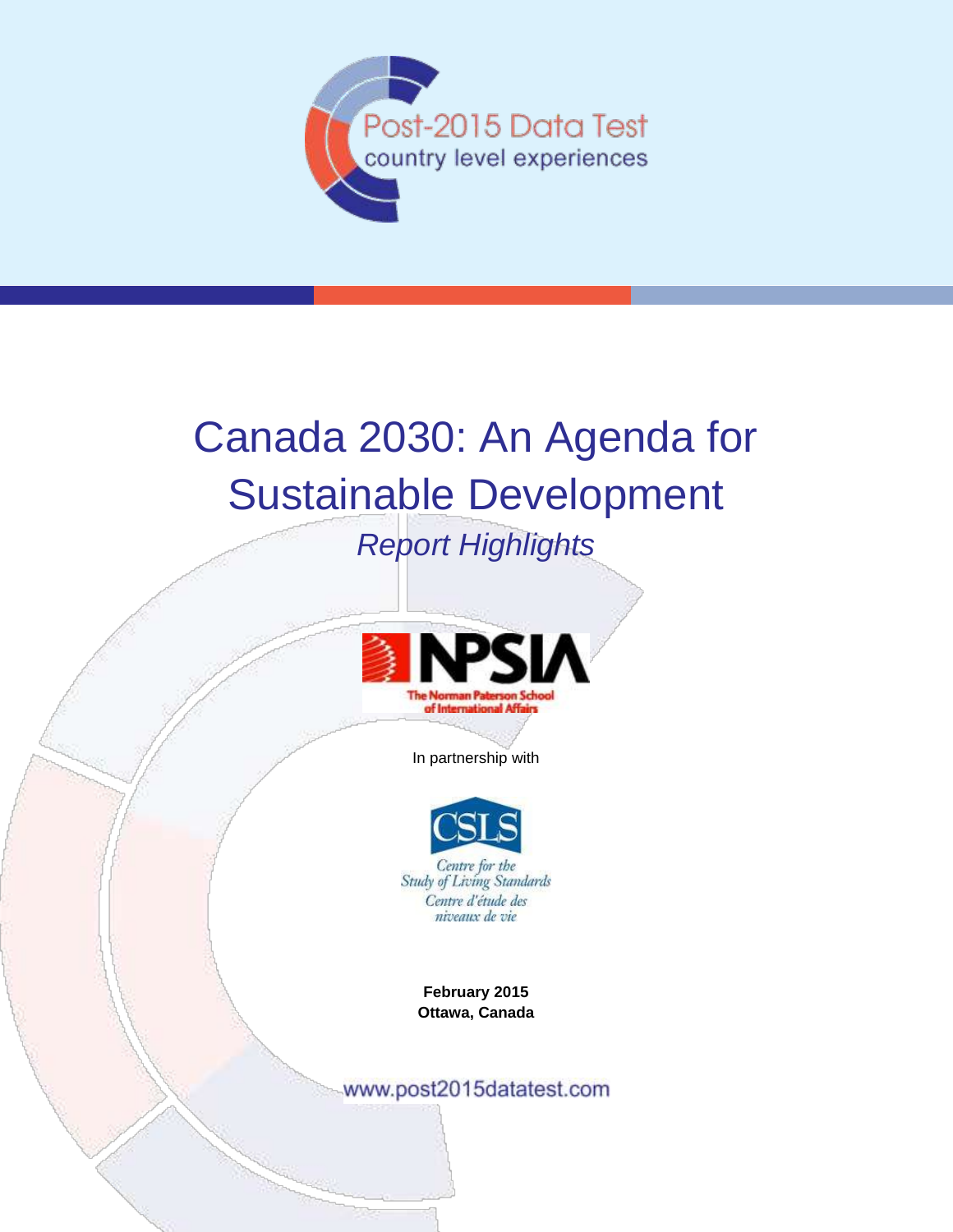

# Canada 2030: An Agenda for Sustainable Development

## *Report Highlights*



In partnership with



Centre d'étude des niveaux de vie

**February 2015 Ottawa, Canada**

www.post2015datatest.com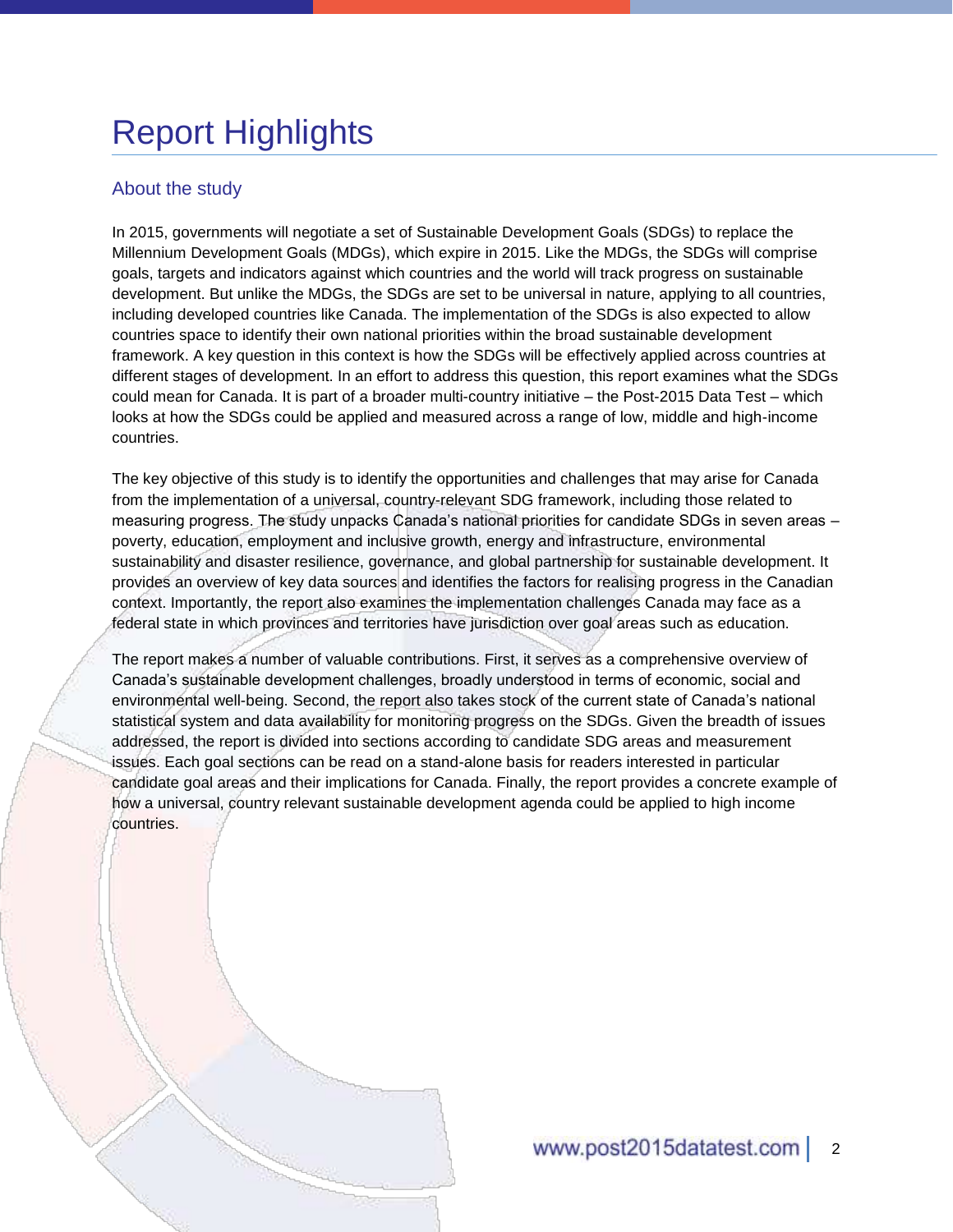# Report Highlights

#### About the study

In 2015, governments will negotiate a set of Sustainable Development Goals (SDGs) to replace the Millennium Development Goals (MDGs), which expire in 2015. Like the MDGs, the SDGs will comprise goals, targets and indicators against which countries and the world will track progress on sustainable development. But unlike the MDGs, the SDGs are set to be universal in nature, applying to all countries, including developed countries like Canada. The implementation of the SDGs is also expected to allow countries space to identify their own national priorities within the broad sustainable development framework. A key question in this context is how the SDGs will be effectively applied across countries at different stages of development. In an effort to address this question, this report examines what the SDGs could mean for Canada. It is part of a broader multi-country initiative – the Post-2015 Data Test – which looks at how the SDGs could be applied and measured across a range of low, middle and high-income countries.

The key objective of this study is to identify the opportunities and challenges that may arise for Canada from the implementation of a universal, country-relevant SDG framework, including those related to measuring progress. The study unpacks Canada's national priorities for candidate SDGs in seven areas – poverty, education, employment and inclusive growth, energy and infrastructure, environmental sustainability and disaster resilience, governance, and global partnership for sustainable development. It provides an overview of key data sources and identifies the factors for realising progress in the Canadian context. Importantly, the report also examines the implementation challenges Canada may face as a federal state in which provinces and territories have jurisdiction over goal areas such as education.

The report makes a number of valuable contributions. First, it serves as a comprehensive overview of Canada's sustainable development challenges, broadly understood in terms of economic, social and environmental well-being. Second, the report also takes stock of the current state of Canada's national statistical system and data availability for monitoring progress on the SDGs. Given the breadth of issues addressed, the report is divided into sections according to candidate SDG areas and measurement issues. Each goal sections can be read on a stand-alone basis for readers interested in particular candidate goal areas and their implications for Canada. Finally, the report provides a concrete example of how a universal, country relevant sustainable development agenda could be applied to high income countries.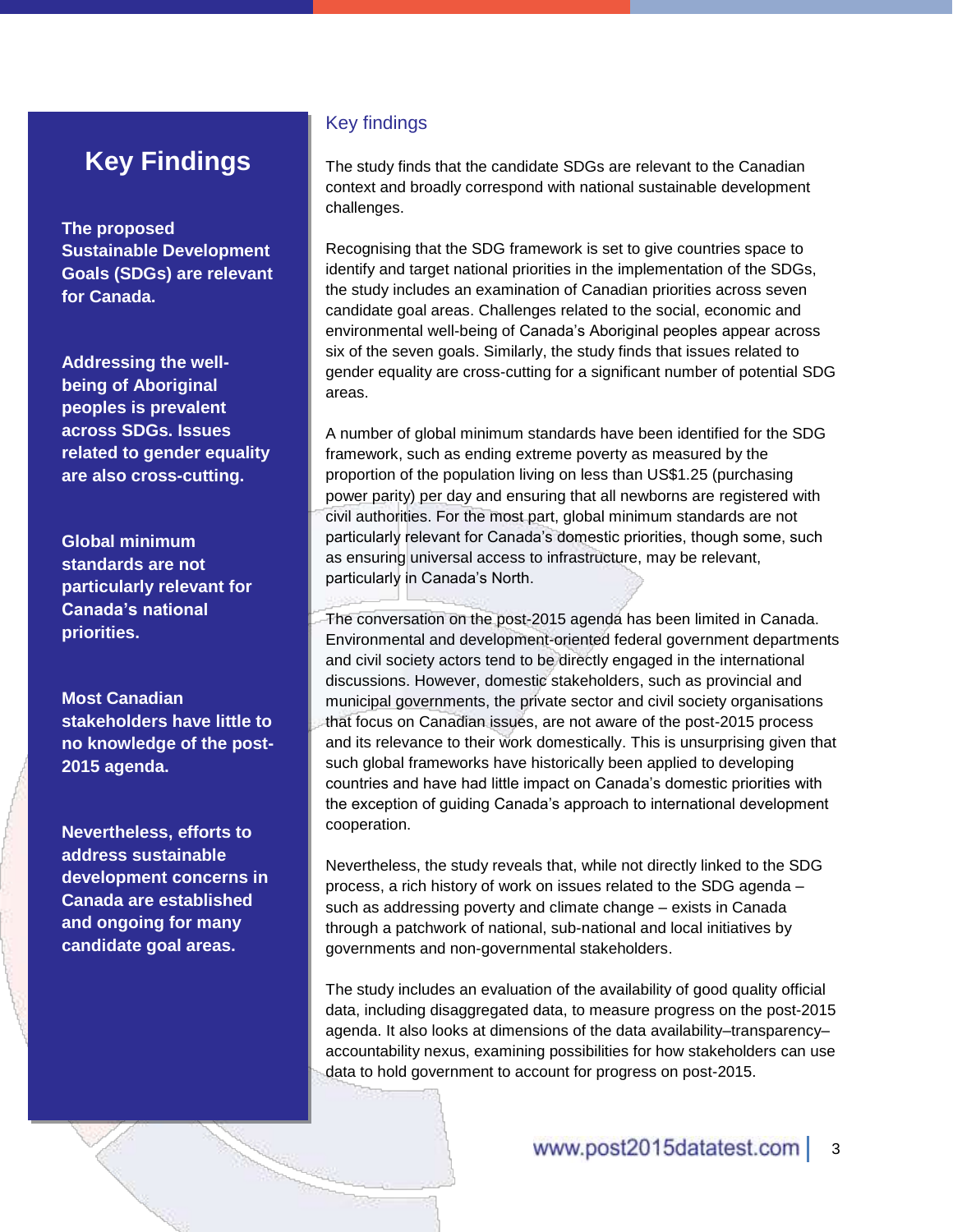### **Key Findings**

**The proposed Sustainable Development Goals (SDGs) are relevant for Canada.** 

**Addressing the wellbeing of Aboriginal peoples is prevalent across SDGs. Issues related to gender equality are also cross-cutting.**

**Global minimum standards are not particularly relevant for Canada's national priorities.**

**Most Canadian stakeholders have little to no knowledge of the post-2015 agenda.** 

**Nevertheless, efforts to address sustainable development concerns in Canada are established and ongoing for many candidate goal areas.** 

#### Key findings

The study finds that the candidate SDGs are relevant to the Canadian context and broadly correspond with national sustainable development challenges.

Recognising that the SDG framework is set to give countries space to identify and target national priorities in the implementation of the SDGs, the study includes an examination of Canadian priorities across seven candidate goal areas. Challenges related to the social, economic and environmental well-being of Canada's Aboriginal peoples appear across six of the seven goals. Similarly, the study finds that issues related to gender equality are cross-cutting for a significant number of potential SDG areas.

A number of global minimum standards have been identified for the SDG framework, such as ending extreme poverty as measured by the proportion of the population living on less than US\$1.25 (purchasing power parity) per day and ensuring that all newborns are registered with civil authorities. For the most part, global minimum standards are not particularly relevant for Canada's domestic priorities, though some, such as ensuring universal access to infrastructure, may be relevant, particularly in Canada's North.

#### The conversation on the post-2015 agenda has been limited in Canada. Environmental and development-oriented federal government departments and civil society actors tend to be directly engaged in the international discussions. However, domestic stakeholders, such as provincial and municipal governments, the private sector and civil society organisations that focus on Canadian issues, are not aware of the post-2015 process and its relevance to their work domestically. This is unsurprising given that such global frameworks have historically been applied to developing countries and have had little impact on Canada's domestic priorities with the exception of guiding Canada's approach to international development cooperation.

Nevertheless, the study reveals that, while not directly linked to the SDG process, a rich history of work on issues related to the SDG agenda – such as addressing poverty and climate change – exists in Canada through a patchwork of national, sub-national and local initiatives by governments and non-governmental stakeholders.

The study includes an evaluation of the availability of good quality official data, including disaggregated data, to measure progress on the post-2015 agenda. It also looks at dimensions of the data availability–transparency– accountability nexus, examining possibilities for how stakeholders can use data to hold government to account for progress on post-2015.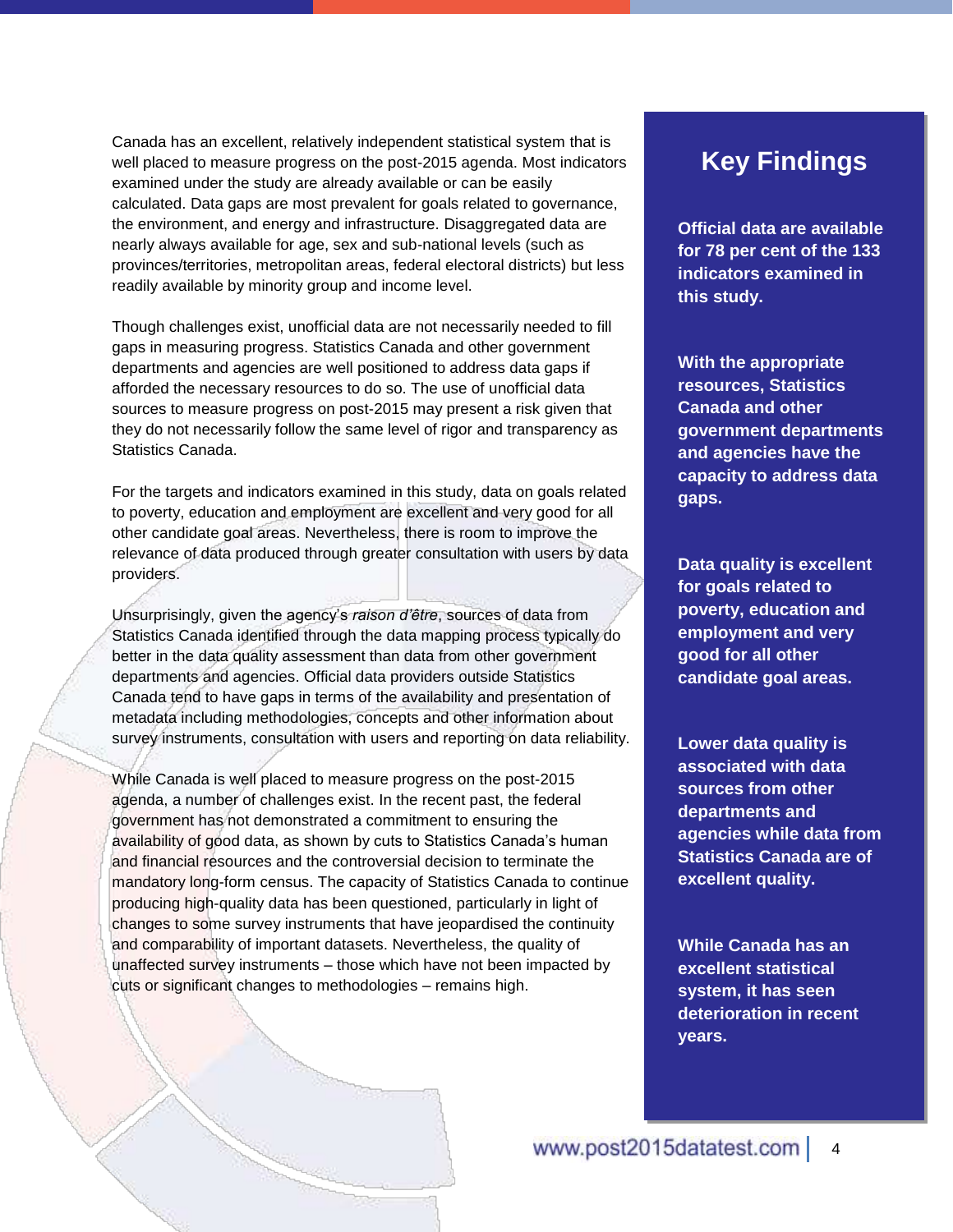Canada has an excellent, relatively independent statistical system that is well placed to measure progress on the post-2015 agenda. Most indicators examined under the study are already available or can be easily calculated. Data gaps are most prevalent for goals related to governance, the environment, and energy and infrastructure. Disaggregated data are nearly always available for age, sex and sub-national levels (such as provinces/territories, metropolitan areas, federal electoral districts) but less readily available by minority group and income level.

Though challenges exist, unofficial data are not necessarily needed to fill gaps in measuring progress. Statistics Canada and other government departments and agencies are well positioned to address data gaps if afforded the necessary resources to do so. The use of unofficial data sources to measure progress on post-2015 may present a risk given that they do not necessarily follow the same level of rigor and transparency as Statistics Canada.

For the targets and indicators examined in this study, data on goals related to poverty, education and employment are excellent and very good for all other candidate goal areas. Nevertheless, there is room to improve the relevance of data produced through greater consultation with users by data providers.

Unsurprisingly, given the agency's *raison d'être*, sources of data from Statistics Canada identified through the data mapping process typically do better in the data quality assessment than data from other government departments and agencies. Official data providers outside Statistics Canada tend to have gaps in terms of the availability and presentation of metadata including methodologies, concepts and other information about survey instruments, consultation with users and reporting on data reliability.

While Canada is well placed to measure progress on the post-2015 agenda, a number of challenges exist. In the recent past, the federal government has not demonstrated a commitment to ensuring the availability of good data, as shown by cuts to Statistics Canada's human and financial resources and the controversial decision to terminate the mandatory long-form census. The capacity of Statistics Canada to continue producing high-quality data has been questioned, particularly in light of changes to some survey instruments that have jeopardised the continuity and comparability of important datasets. Nevertheless, the quality of unaffected survey instruments – those which have not been impacted by cuts or significant changes to methodologies – remains high.

### **Key Findings**

**Official data are available for 78 per cent of the 133 indicators examined in this study.**

**With the appropriate resources, Statistics Canada and other government departments and agencies have the capacity to address data gaps.**

**Data quality is excellent for goals related to poverty, education and employment and very good for all other candidate goal areas.** 

**Lower data quality is associated with data sources from other departments and agencies while data from Statistics Canada are of excellent quality.** 

**While Canada has an excellent statistical system, it has seen deterioration in recent years.**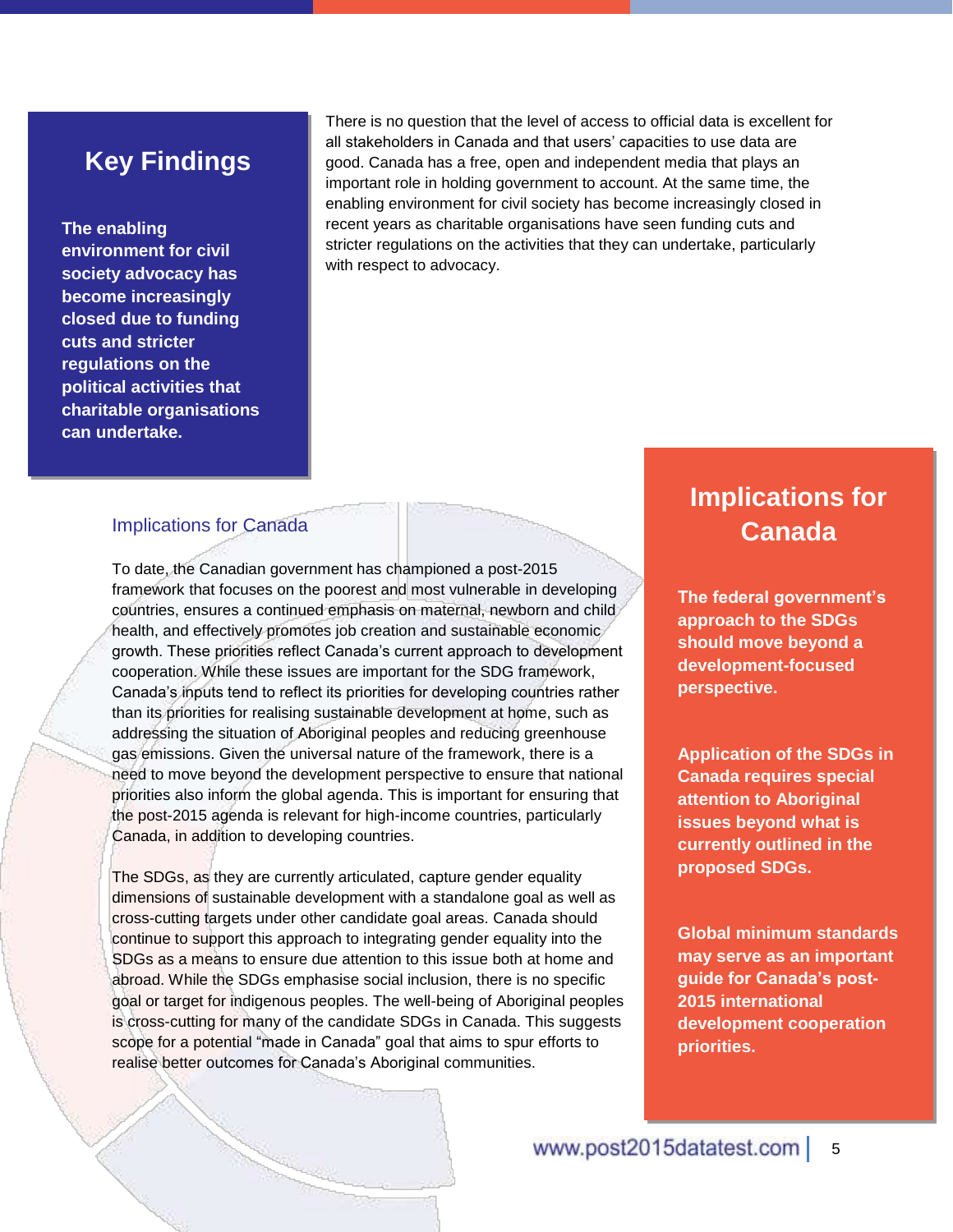### **Key Findings**

#### **The enabling**

**environment for civil society advocacy has become increasingly closed due to funding cuts and stricter regulations on the political activities that charitable organisations can undertake.** 

There is no question that the level of access to official data is excellent for all stakeholders in Canada and that users' capacities to use data are good. Canada has a free, open and independent media that plays an important role in holding government to account. At the same time, the enabling environment for civil society has become increasingly closed in recent years as charitable organisations have seen funding cuts and stricter regulations on the activities that they can undertake, particularly with respect to advocacy.

#### Implications for Canada

To date, the Canadian government has championed a post-2015 framework that focuses on the poorest and most vulnerable in developing countries, ensures a continued emphasis on maternal, newborn and child health, and effectively promotes job creation and sustainable economic growth. These priorities reflect Canada's current approach to development cooperation. While these issues are important for the SDG framework, Canada's inputs tend to reflect its priorities for developing countries rather than its priorities for realising sustainable development at home, such as addressing the situation of Aboriginal peoples and reducing greenhouse gas emissions. Given the universal nature of the framework, there is a need to move beyond the development perspective to ensure that national priorities also inform the global agenda. This is important for ensuring that the post-2015 agenda is relevant for high-income countries, particularly Canada, in addition to developing countries.

The SDGs, as they are currently articulated, capture gender equality dimensions of sustainable development with a standalone goal as well as cross-cutting targets under other candidate goal areas. Canada should continue to support this approach to integrating gender equality into the SDGs as a means to ensure due attention to this issue both at home and abroad. While the SDGs emphasise social inclusion, there is no specific goal or target for indigenous peoples. The well-being of Aboriginal peoples is cross-cutting for many of the candidate SDGs in Canada. This suggests scope for a potential "made in Canada" goal that aims to spur efforts to realise better outcomes for Canada's Aboriginal communities.

### **Implications for Canada**

**The federal government's approach to the SDGs should move beyond a development-focused perspective.**

**Application of the SDGs in Canada requires special attention to Aboriginal issues beyond what is currently outlined in the proposed SDGs.**

**Global minimum standards may serve as an important guide for Canada's post-2015 international development cooperation priorities.**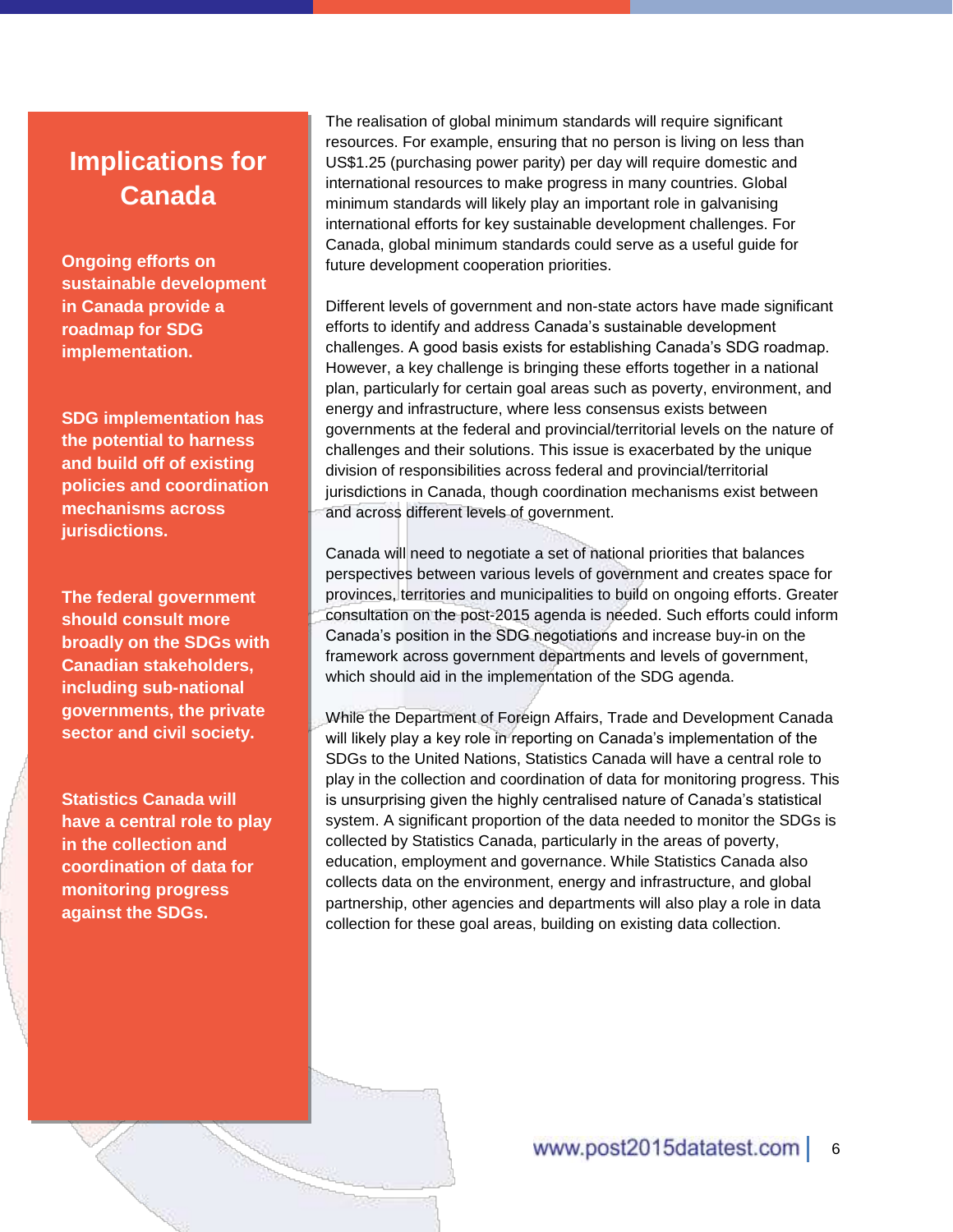### **Implications for Canada**

**Ongoing efforts on sustainable development in Canada provide a roadmap for SDG implementation.**

**SDG implementation has the potential to harness and build off of existing policies and coordination mechanisms across jurisdictions.**

**The federal government should consult more broadly on the SDGs with Canadian stakeholders, including sub-national governments, the private sector and civil society.** 

**Statistics Canada will have a central role to play in the collection and coordination of data for monitoring progress against the SDGs.**

The realisation of global minimum standards will require significant resources. For example, ensuring that no person is living on less than US\$1.25 (purchasing power parity) per day will require domestic and international resources to make progress in many countries. Global minimum standards will likely play an important role in galvanising international efforts for key sustainable development challenges. For Canada, global minimum standards could serve as a useful guide for future development cooperation priorities.

Different levels of government and non-state actors have made significant efforts to identify and address Canada's sustainable development challenges. A good basis exists for establishing Canada's SDG roadmap. However, a key challenge is bringing these efforts together in a national plan, particularly for certain goal areas such as poverty, environment, and energy and infrastructure, where less consensus exists between governments at the federal and provincial/territorial levels on the nature of challenges and their solutions. This issue is exacerbated by the unique division of responsibilities across federal and provincial/territorial jurisdictions in Canada, though coordination mechanisms exist between and across different levels of government.

Canada will need to negotiate a set of national priorities that balances perspectives between various levels of government and creates space for provinces, territories and municipalities to build on ongoing efforts. Greater consultation on the post-2015 agenda is needed. Such efforts could inform Canada's position in the SDG negotiations and increase buy-in on the framework across government departments and levels of government, which should aid in the implementation of the SDG agenda.

While the Department of Foreign Affairs, Trade and Development Canada will likely play a key role in reporting on Canada's implementation of the SDGs to the United Nations, Statistics Canada will have a central role to play in the collection and coordination of data for monitoring progress. This is unsurprising given the highly centralised nature of Canada's statistical system. A significant proportion of the data needed to monitor the SDGs is collected by Statistics Canada, particularly in the areas of poverty, education, employment and governance. While Statistics Canada also collects data on the environment, energy and infrastructure, and global partnership, other agencies and departments will also play a role in data collection for these goal areas, building on existing data collection.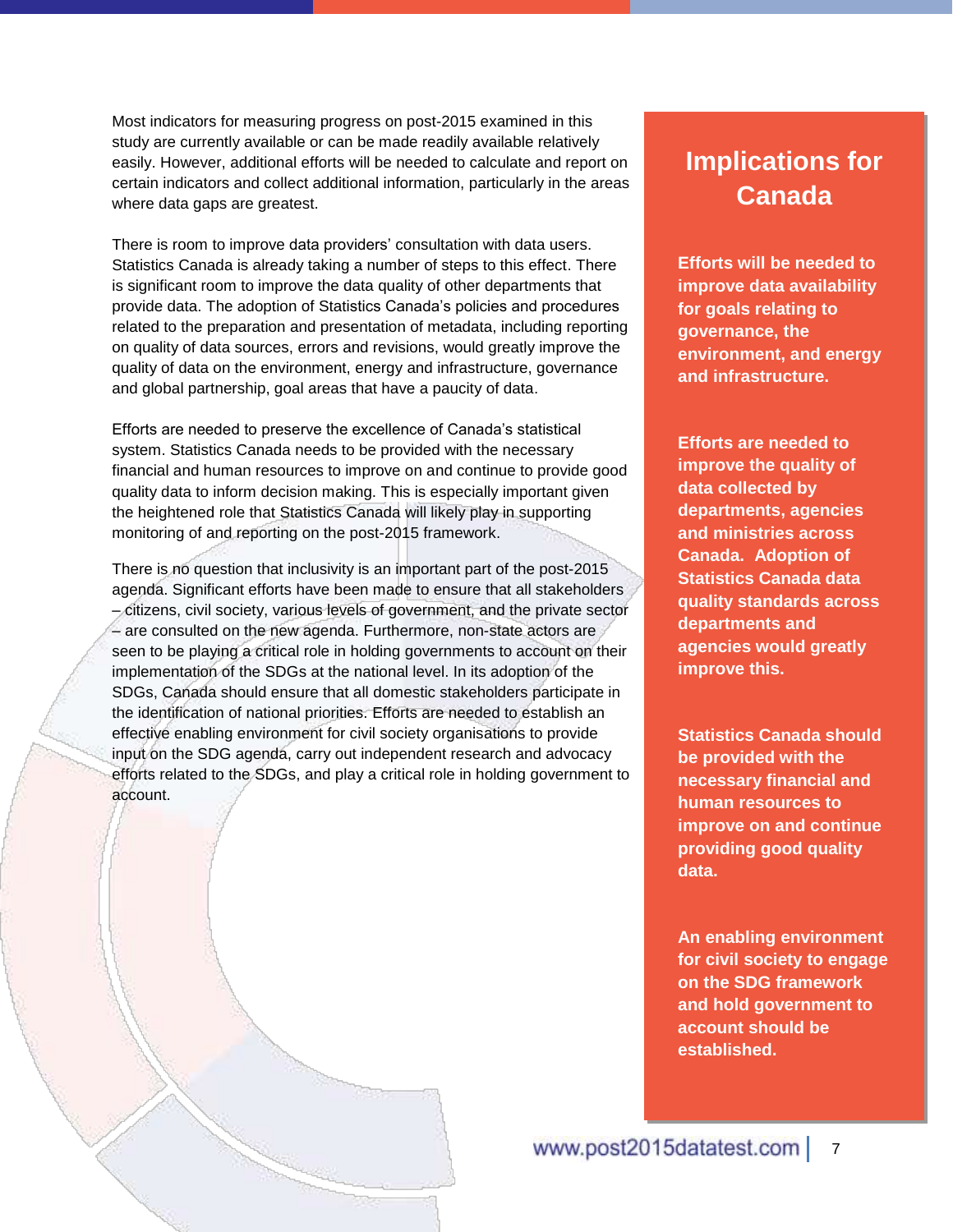Most indicators for measuring progress on post-2015 examined in this study are currently available or can be made readily available relatively easily. However, additional efforts will be needed to calculate and report on certain indicators and collect additional information, particularly in the areas where data gaps are greatest.

There is room to improve data providers' consultation with data users. Statistics Canada is already taking a number of steps to this effect. There is significant room to improve the data quality of other departments that provide data. The adoption of Statistics Canada's policies and procedures related to the preparation and presentation of metadata, including reporting on quality of data sources, errors and revisions, would greatly improve the quality of data on the environment, energy and infrastructure, governance and global partnership, goal areas that have a paucity of data.

Efforts are needed to preserve the excellence of Canada's statistical system. Statistics Canada needs to be provided with the necessary financial and human resources to improve on and continue to provide good quality data to inform decision making. This is especially important given the heightened role that Statistics Canada will likely play in supporting monitoring of and reporting on the post-2015 framework.

There is no question that inclusivity is an important part of the post-2015 agenda. Significant efforts have been made to ensure that all stakeholders – citizens, civil society, various levels of government, and the private sector – are consulted on the new agenda. Furthermore, non-state actors are seen to be playing a critical role in holding governments to account on their implementation of the SDGs at the national level. In its adoption of the SDGs, Canada should ensure that all domestic stakeholders participate in the identification of national priorities. Efforts are needed to establish an effective enabling environment for civil society organisations to provide input on the SDG agenda, carry out independent research and advocacy efforts related to the SDGs, and play a critical role in holding government to account.

### **Implications for Canada**

**Efforts will be needed to improve data availability for goals relating to governance, the environment, and energy and infrastructure.**

**Efforts are needed to improve the quality of data collected by departments, agencies and ministries across Canada. Adoption of Statistics Canada data quality standards across departments and agencies would greatly improve this.** 

**Statistics Canada should be provided with the necessary financial and human resources to improve on and continue providing good quality data.** 

**An enabling environment for civil society to engage on the SDG framework and hold government to account should be established.**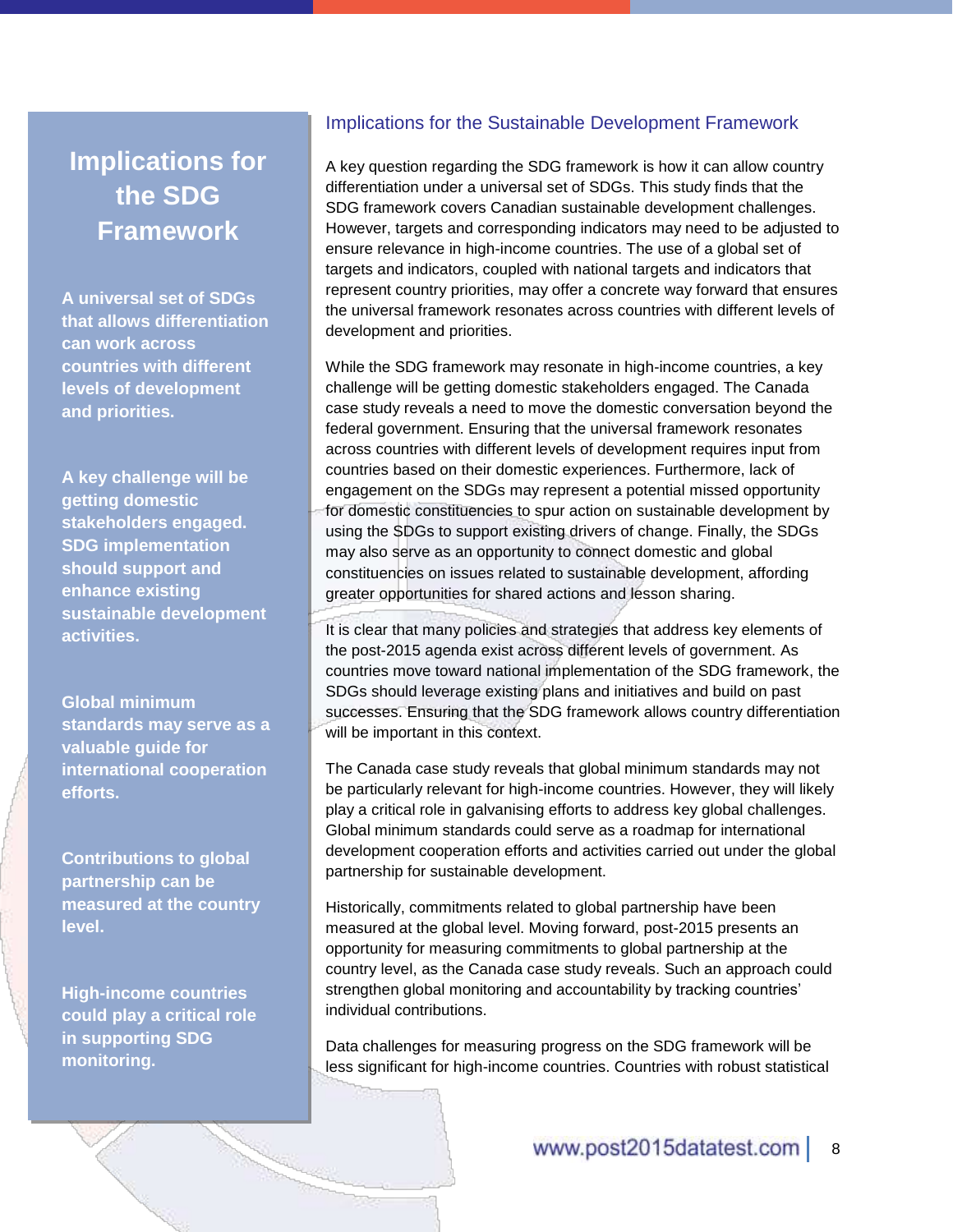### **Implications for the SDG Framework**

**A universal set of SDGs that allows differentiation can work across countries with different levels of development and priorities.**

**A key challenge will be getting domestic stakeholders engaged. SDG implementation should support and enhance existing sustainable development activities.** 

**Global minimum standards may serve as a valuable guide for international cooperation efforts.** 

**Contributions to global partnership can be measured at the country level.** 

**High-income countries could play a critical role in supporting SDG monitoring.**

#### Implications for the Sustainable Development Framework

A key question regarding the SDG framework is how it can allow country differentiation under a universal set of SDGs. This study finds that the SDG framework covers Canadian sustainable development challenges. However, targets and corresponding indicators may need to be adjusted to ensure relevance in high-income countries. The use of a global set of targets and indicators, coupled with national targets and indicators that represent country priorities, may offer a concrete way forward that ensures the universal framework resonates across countries with different levels of development and priorities.

While the SDG framework may resonate in high-income countries, a key challenge will be getting domestic stakeholders engaged. The Canada case study reveals a need to move the domestic conversation beyond the federal government. Ensuring that the universal framework resonates across countries with different levels of development requires input from countries based on their domestic experiences. Furthermore, lack of engagement on the SDGs may represent a potential missed opportunity for domestic constituencies to spur action on sustainable development by using the SDGs to support existing drivers of change. Finally, the SDGs may also serve as an opportunity to connect domestic and global constituencies on issues related to sustainable development, affording greater opportunities for shared actions and lesson sharing.

It is clear that many policies and strategies that address key elements of the post-2015 agenda exist across different levels of government. As countries move toward national implementation of the SDG framework, the SDGs should leverage existing plans and initiatives and build on past successes. Ensuring that the SDG framework allows country differentiation will be important in this context.

The Canada case study reveals that global minimum standards may not be particularly relevant for high-income countries. However, they will likely play a critical role in galvanising efforts to address key global challenges. Global minimum standards could serve as a roadmap for international development cooperation efforts and activities carried out under the global partnership for sustainable development.

Historically, commitments related to global partnership have been measured at the global level. Moving forward, post-2015 presents an opportunity for measuring commitments to global partnership at the country level, as the Canada case study reveals. Such an approach could strengthen global monitoring and accountability by tracking countries' individual contributions.

Data challenges for measuring progress on the SDG framework will be less significant for high-income countries. Countries with robust statistical